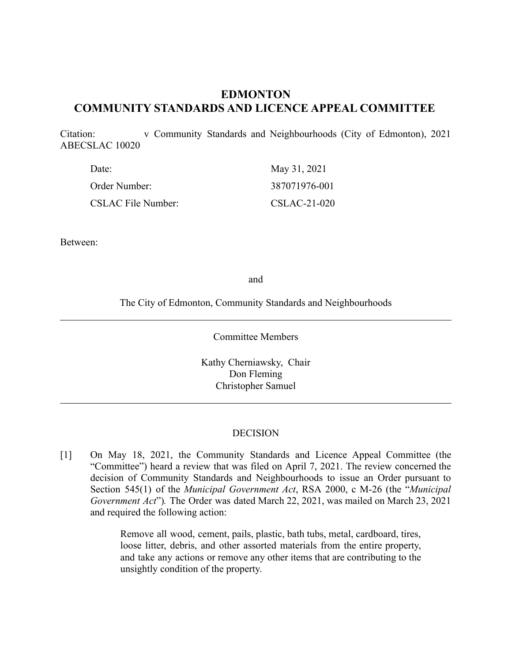# **EDMONTON COMMUNITY STANDARDS AND LICENCE APPEAL COMMITTEE**

Citation: v Community Standards and Neighbourhoods (City of Edmonton), 2021 ABECSLAC 10020

| Date:                     | May 31, 2021   |
|---------------------------|----------------|
| Order Number:             | 387071976-001  |
| <b>CSLAC File Number:</b> | $CSLAC-21-020$ |

Between:

and

The City of Edmonton, Community Standards and Neighbourhoods

Committee Members

Kathy Cherniawsky, Chair Don Fleming Christopher Samuel

#### DECISION

[1] On May 18, 2021, the Community Standards and Licence Appeal Committee (the "Committee") heard a review that was filed on April 7, 2021. The review concerned the decision of Community Standards and Neighbourhoods to issue an Order pursuant to Section 545(1) of the *Municipal Government Act*, RSA 2000, c M-26 (the "*Municipal Government Act*")*.* The Order was dated March 22, 2021, was mailed on March 23, 2021 and required the following action:

> Remove all wood, cement, pails, plastic, bath tubs, metal, cardboard, tires, loose litter, debris, and other assorted materials from the entire property, and take any actions or remove any other items that are contributing to the unsightly condition of the property.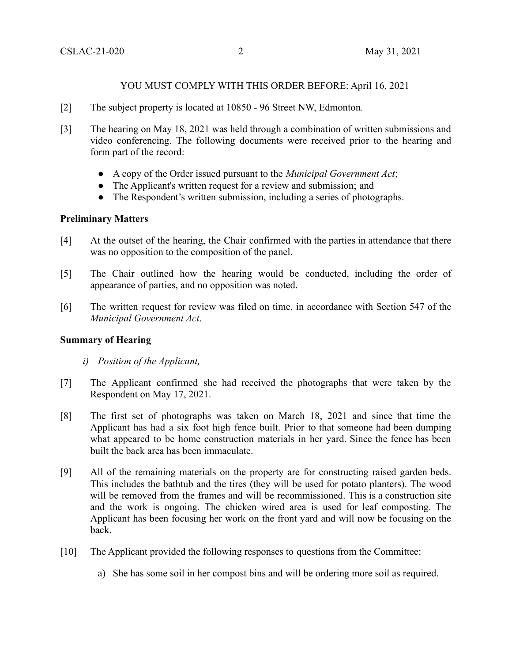### YOU MUST COMPLY WITH THIS ORDER BEFORE: April 16, 2021

- [2] The subject property is located at 10850 96 Street NW, Edmonton.
- [3] The hearing on May 18, 2021 was held through a combination of written submissions and video conferencing. The following documents were received prior to the hearing and form part of the record:
	- A copy of the Order issued pursuant to the *Municipal Government Act*;
	- The Applicant's written request for a review and submission; and
	- The Respondent's written submission, including a series of photographs.

### **Preliminary Matters**

- [4] At the outset of the hearing, the Chair confirmed with the parties in attendance that there was no opposition to the composition of the panel.
- [5] The Chair outlined how the hearing would be conducted, including the order of appearance of parties, and no opposition was noted.
- [6] The written request for review was filed on time, in accordance with Section 547 of the *Municipal Government Act*.

### **Summary of Hearing**

- *i) Position of the Applicant,*
- [7] The Applicant confirmed she had received the photographs that were taken by the Respondent on May 17, 2021.
- [8] The first set of photographs was taken on March 18, 2021 and since that time the Applicant has had a six foot high fence built. Prior to that someone had been dumping what appeared to be home construction materials in her yard. Since the fence has been built the back area has been immaculate.
- [9] All of the remaining materials on the property are for constructing raised garden beds. This includes the bathtub and the tires (they will be used for potato planters). The wood will be removed from the frames and will be recommissioned. This is a construction site and the work is ongoing. The chicken wired area is used for leaf composting. The Applicant has been focusing her work on the front yard and will now be focusing on the back.
- [10] The Applicant provided the following responses to questions from the Committee:
	- a) She has some soil in her compost bins and will be ordering more soil as required.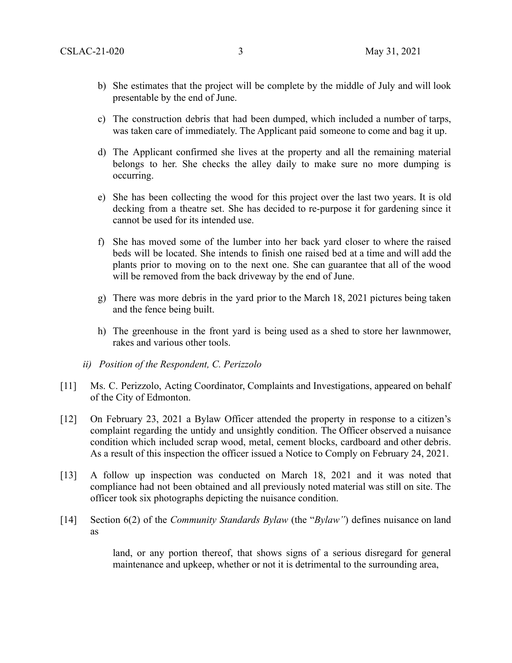- b) She estimates that the project will be complete by the middle of July and will look presentable by the end of June.
- c) The construction debris that had been dumped, which included a number of tarps, was taken care of immediately. The Applicant paid someone to come and bag it up.
- d) The Applicant confirmed she lives at the property and all the remaining material belongs to her. She checks the alley daily to make sure no more dumping is occurring.
- e) She has been collecting the wood for this project over the last two years. It is old decking from a theatre set. She has decided to re-purpose it for gardening since it cannot be used for its intended use.
- f) She has moved some of the lumber into her back yard closer to where the raised beds will be located. She intends to finish one raised bed at a time and will add the plants prior to moving on to the next one. She can guarantee that all of the wood will be removed from the back driveway by the end of June.
- g) There was more debris in the yard prior to the March 18, 2021 pictures being taken and the fence being built.
- h) The greenhouse in the front yard is being used as a shed to store her lawnmower, rakes and various other tools.
- *ii) Position of the Respondent, C. Perizzolo*
- [11] Ms. C. Perizzolo, Acting Coordinator, Complaints and Investigations, appeared on behalf of the City of Edmonton.
- [12] On February 23, 2021 a Bylaw Officer attended the property in response to a citizen's complaint regarding the untidy and unsightly condition. The Officer observed a nuisance condition which included scrap wood, metal, cement blocks, cardboard and other debris. As a result of this inspection the officer issued a Notice to Comply on February 24, 2021.
- [13] A follow up inspection was conducted on March 18, 2021 and it was noted that compliance had not been obtained and all previously noted material was still on site. The officer took six photographs depicting the nuisance condition.
- [14] Section 6(2) of the *Community Standards Bylaw* (the "*Bylaw"*) defines nuisance on land as

land, or any portion thereof, that shows signs of a serious disregard for general maintenance and upkeep, whether or not it is detrimental to the surrounding area,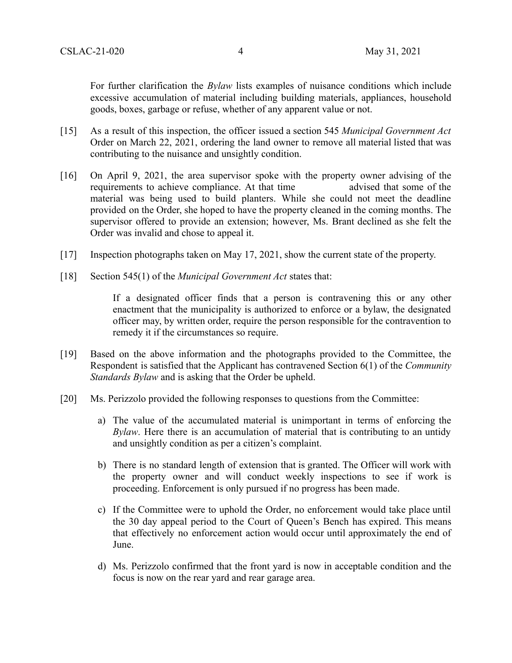For further clarification the *Bylaw* lists examples of nuisance conditions which include excessive accumulation of material including building materials, appliances, household goods, boxes, garbage or refuse, whether of any apparent value or not.

- [15] As a result of this inspection, the officer issued a section 545 *Municipal Government Act* Order on March 22, 2021, ordering the land owner to remove all material listed that was contributing to the nuisance and unsightly condition.
- [16] On April 9, 2021, the area supervisor spoke with the property owner advising of the requirements to achieve compliance. At that time advised that some of the material was being used to build planters. While she could not meet the deadline provided on the Order, she hoped to have the property cleaned in the coming months. The supervisor offered to provide an extension; however, Ms. Brant declined as she felt the Order was invalid and chose to appeal it.
- [17] Inspection photographs taken on May 17, 2021, show the current state of the property.
- [18] Section 545(1) of the *Municipal Government Act* states that:

If a designated officer finds that a person is contravening this or any other enactment that the municipality is authorized to enforce or a bylaw, the designated officer may, by written order, require the person responsible for the contravention to remedy it if the circumstances so require.

- [19] Based on the above information and the photographs provided to the Committee, the Respondent is satisfied that the Applicant has contravened Section 6(1) of the *Community Standards Bylaw* and is asking that the Order be upheld.
- [20] Ms. Perizzolo provided the following responses to questions from the Committee:
	- a) The value of the accumulated material is unimportant in terms of enforcing the *Bylaw*. Here there is an accumulation of material that is contributing to an untidy and unsightly condition as per a citizen's complaint.
	- b) There is no standard length of extension that is granted. The Officer will work with the property owner and will conduct weekly inspections to see if work is proceeding. Enforcement is only pursued if no progress has been made.
	- c) If the Committee were to uphold the Order, no enforcement would take place until the 30 day appeal period to the Court of Queen's Bench has expired. This means that effectively no enforcement action would occur until approximately the end of June.
	- d) Ms. Perizzolo confirmed that the front yard is now in acceptable condition and the focus is now on the rear yard and rear garage area.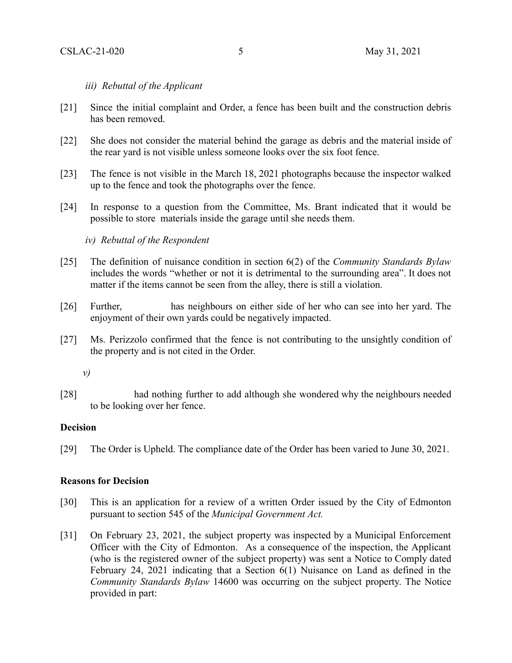### *iii) Rebuttal of the Applicant*

- [21] Since the initial complaint and Order, a fence has been built and the construction debris has been removed.
- [22] She does not consider the material behind the garage as debris and the material inside of the rear yard is not visible unless someone looks over the six foot fence.
- [23] The fence is not visible in the March 18, 2021 photographs because the inspector walked up to the fence and took the photographs over the fence.
- [24] In response to a question from the Committee, Ms. Brant indicated that it would be possible to store materials inside the garage until she needs them.

### *iv) Rebuttal of the Respondent*

- [25] The definition of nuisance condition in section 6(2) of the *Community Standards Bylaw* includes the words "whether or not it is detrimental to the surrounding area". It does not matter if the items cannot be seen from the alley, there is still a violation.
- [26] Further, has neighbours on either side of her who can see into her yard. The enjoyment of their own yards could be negatively impacted.
- [27] Ms. Perizzolo confirmed that the fence is not contributing to the unsightly condition of the property and is not cited in the Order.

*v)* 

[28] had nothing further to add although she wondered why the neighbours needed to be looking over her fence.

#### **Decision**

[29] The Order is Upheld. The compliance date of the Order has been varied to June 30, 2021.

## **Reasons for Decision**

- [30] This is an application for a review of a written Order issued by the City of Edmonton pursuant to section 545 of the *Municipal Government Act.*
- [31] On February 23, 2021, the subject property was inspected by a Municipal Enforcement Officer with the City of Edmonton. As a consequence of the inspection, the Applicant (who is the registered owner of the subject property) was sent a Notice to Comply dated February 24, 2021 indicating that a Section 6(1) Nuisance on Land as defined in the *Community Standards Bylaw* 14600 was occurring on the subject property. The Notice provided in part: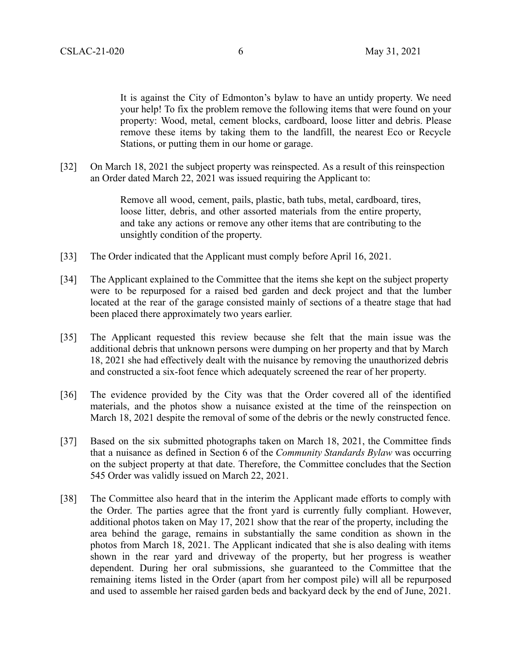It is against the City of Edmonton's bylaw to have an untidy property. We need your help! To fix the problem remove the following items that were found on your property: Wood, metal, cement blocks, cardboard, loose litter and debris. Please remove these items by taking them to the landfill, the nearest Eco or Recycle Stations, or putting them in our home or garage.

[32] On March 18, 2021 the subject property was reinspected. As a result of this reinspection an Order dated March 22, 2021 was issued requiring the Applicant to:

> Remove all wood, cement, pails, plastic, bath tubs, metal, cardboard, tires, loose litter, debris, and other assorted materials from the entire property, and take any actions or remove any other items that are contributing to the unsightly condition of the property.

- [33] The Order indicated that the Applicant must comply before April 16, 2021.
- [34] The Applicant explained to the Committee that the items she kept on the subject property were to be repurposed for a raised bed garden and deck project and that the lumber located at the rear of the garage consisted mainly of sections of a theatre stage that had been placed there approximately two years earlier.
- [35] The Applicant requested this review because she felt that the main issue was the additional debris that unknown persons were dumping on her property and that by March 18, 2021 she had effectively dealt with the nuisance by removing the unauthorized debris and constructed a six-foot fence which adequately screened the rear of her property.
- [36] The evidence provided by the City was that the Order covered all of the identified materials, and the photos show a nuisance existed at the time of the reinspection on March 18, 2021 despite the removal of some of the debris or the newly constructed fence.
- [37] Based on the six submitted photographs taken on March 18, 2021, the Committee finds that a nuisance as defined in Section 6 of the *Community Standards Bylaw* was occurring on the subject property at that date. Therefore, the Committee concludes that the Section 545 Order was validly issued on March 22, 2021.
- [38] The Committee also heard that in the interim the Applicant made efforts to comply with the Order. The parties agree that the front yard is currently fully compliant. However, additional photos taken on May 17, 2021 show that the rear of the property, including the area behind the garage, remains in substantially the same condition as shown in the photos from March 18, 2021. The Applicant indicated that she is also dealing with items shown in the rear yard and driveway of the property, but her progress is weather dependent. During her oral submissions, she guaranteed to the Committee that the remaining items listed in the Order (apart from her compost pile) will all be repurposed and used to assemble her raised garden beds and backyard deck by the end of June, 2021.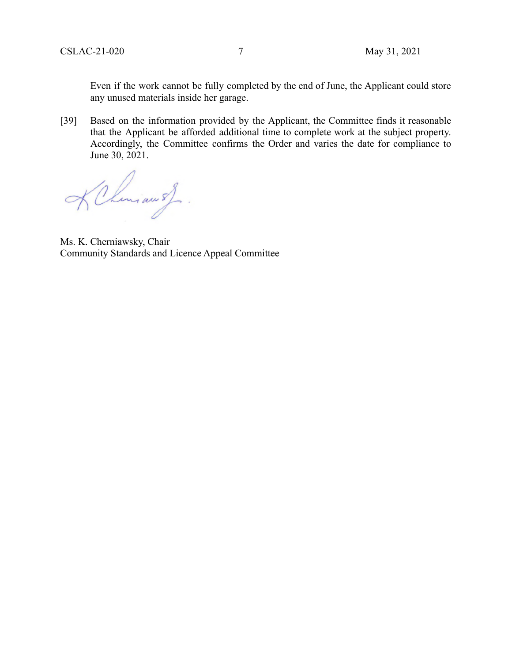Even if the work cannot be fully completed by the end of June, the Applicant could store any unused materials inside her garage.

[39] Based on the information provided by the Applicant, the Committee finds it reasonable that the Applicant be afforded additional time to complete work at the subject property. Accordingly, the Committee confirms the Order and varies the date for compliance to June 30, 2021.

KChiman of.

Ms. K. Cherniawsky, Chair Community Standards and Licence Appeal Committee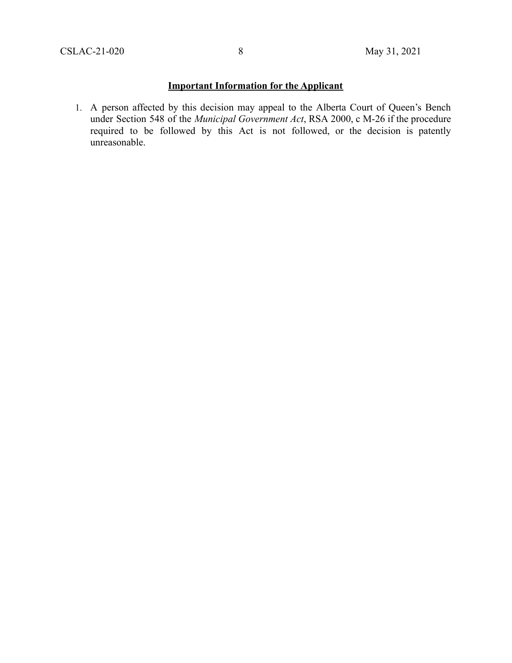# **Important Information for the Applicant**

1. A person affected by this decision may appeal to the Alberta Court of Queen's Bench under Section 548 of the *Municipal Government Act*, RSA 2000, c M-26 if the procedure required to be followed by this Act is not followed, or the decision is patently unreasonable.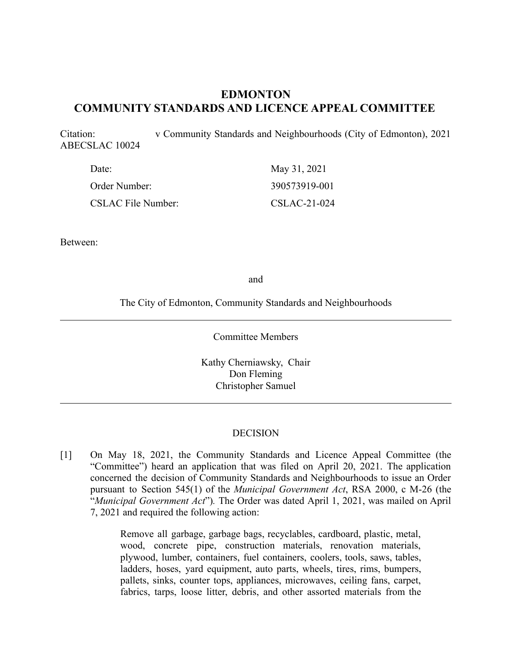# **EDMONTON COMMUNITY STANDARDS AND LICENCE APPEAL COMMITTEE**

Citation: v Community Standards and Neighbourhoods (City of Edmonton), 2021 ABECSLAC 10024

| Date:                     | May 31, 2021   |
|---------------------------|----------------|
| Order Number:             | 390573919-001  |
| <b>CSLAC File Number:</b> | $CSLAC-21-024$ |

Between:

and

The City of Edmonton, Community Standards and Neighbourhoods

Committee Members

Kathy Cherniawsky, Chair Don Fleming Christopher Samuel

#### DECISION

[1] On May 18, 2021, the Community Standards and Licence Appeal Committee (the "Committee") heard an application that was filed on April 20, 2021. The application concerned the decision of Community Standards and Neighbourhoods to issue an Order pursuant to Section 545(1) of the *Municipal Government Act*, RSA 2000, c M-26 (the "*Municipal Government Act*")*.* The Order was dated April 1, 2021, was mailed on April 7, 2021 and required the following action:

> Remove all garbage, garbage bags, recyclables, cardboard, plastic, metal, wood, concrete pipe, construction materials, renovation materials, plywood, lumber, containers, fuel containers, coolers, tools, saws, tables, ladders, hoses, yard equipment, auto parts, wheels, tires, rims, bumpers, pallets, sinks, counter tops, appliances, microwaves, ceiling fans, carpet, fabrics, tarps, loose litter, debris, and other assorted materials from the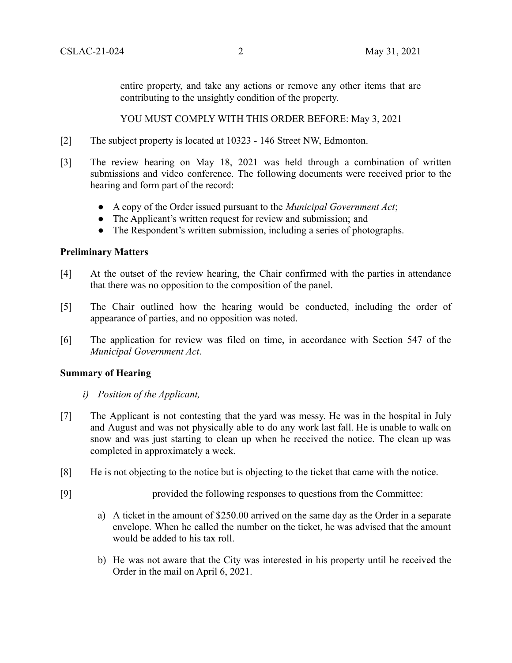entire property, and take any actions or remove any other items that are contributing to the unsightly condition of the property.

YOU MUST COMPLY WITH THIS ORDER BEFORE: May 3, 2021

- [2] The subject property is located at 10323 146 Street NW, Edmonton.
- [3] The review hearing on May 18, 2021 was held through a combination of written submissions and video conference. The following documents were received prior to the hearing and form part of the record:
	- A copy of the Order issued pursuant to the *Municipal Government Act*;
	- The Applicant's written request for review and submission; and
	- The Respondent's written submission, including a series of photographs.

### **Preliminary Matters**

- [4] At the outset of the review hearing, the Chair confirmed with the parties in attendance that there was no opposition to the composition of the panel.
- [5] The Chair outlined how the hearing would be conducted, including the order of appearance of parties, and no opposition was noted.
- [6] The application for review was filed on time, in accordance with Section 547 of the *Municipal Government Act*.

### **Summary of Hearing**

- *i) Position of the Applicant,*
- [7] The Applicant is not contesting that the yard was messy. He was in the hospital in July and August and was not physically able to do any work last fall. He is unable to walk on snow and was just starting to clean up when he received the notice. The clean up was completed in approximately a week.
- [8] He is not objecting to the notice but is objecting to the ticket that came with the notice.
- [9] provided the following responses to questions from the Committee:
	- a) A ticket in the amount of \$250.00 arrived on the same day as the Order in a separate envelope. When he called the number on the ticket, he was advised that the amount would be added to his tax roll.
	- b) He was not aware that the City was interested in his property until he received the Order in the mail on April 6, 2021.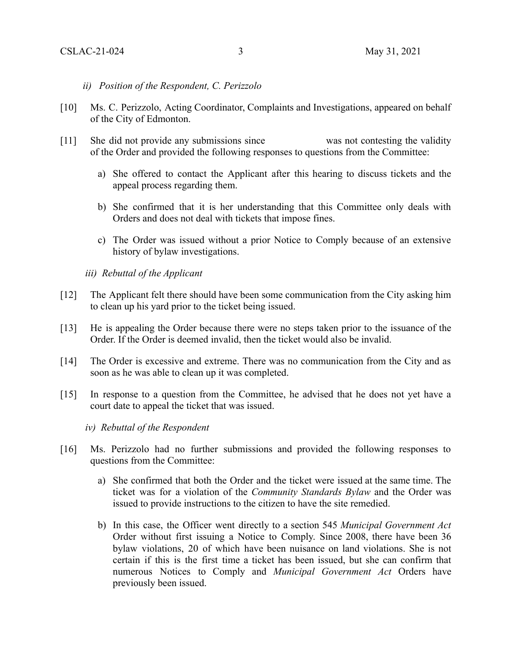- *ii) Position of the Respondent, C. Perizzolo*
- [10] Ms. C. Perizzolo, Acting Coordinator, Complaints and Investigations, appeared on behalf of the City of Edmonton.
- [11] She did not provide any submissions since was not contesting the validity of the Order and provided the following responses to questions from the Committee:
	- a) She offered to contact the Applicant after this hearing to discuss tickets and the appeal process regarding them.
	- b) She confirmed that it is her understanding that this Committee only deals with Orders and does not deal with tickets that impose fines.
	- c) The Order was issued without a prior Notice to Comply because of an extensive history of bylaw investigations.
	- *iii) Rebuttal of the Applicant*
- [12] The Applicant felt there should have been some communication from the City asking him to clean up his yard prior to the ticket being issued.
- [13] He is appealing the Order because there were no steps taken prior to the issuance of the Order. If the Order is deemed invalid, then the ticket would also be invalid.
- [14] The Order is excessive and extreme. There was no communication from the City and as soon as he was able to clean up it was completed.
- [15] In response to a question from the Committee, he advised that he does not yet have a court date to appeal the ticket that was issued.

*iv) Rebuttal of the Respondent*

- [16] Ms. Perizzolo had no further submissions and provided the following responses to questions from the Committee:
	- a) She confirmed that both the Order and the ticket were issued at the same time. The ticket was for a violation of the *Community Standards Bylaw* and the Order was issued to provide instructions to the citizen to have the site remedied.
	- b) In this case, the Officer went directly to a section 545 *Municipal Government Act* Order without first issuing a Notice to Comply. Since 2008, there have been 36 bylaw violations, 20 of which have been nuisance on land violations. She is not certain if this is the first time a ticket has been issued, but she can confirm that numerous Notices to Comply and *Municipal Government Act* Orders have previously been issued.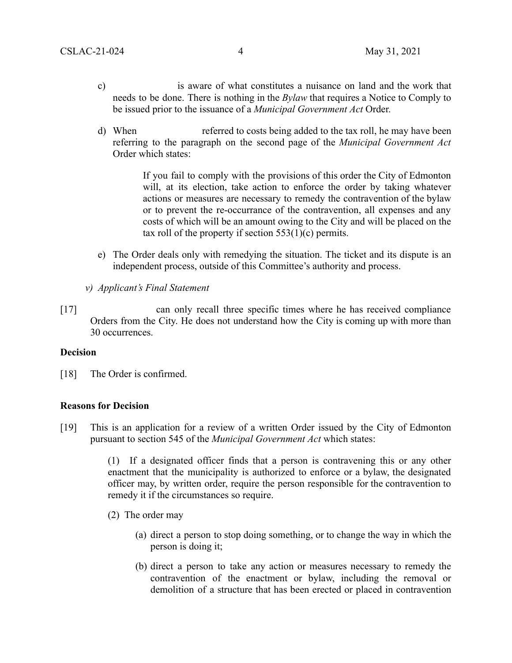- c) is aware of what constitutes a nuisance on land and the work that needs to be done. There is nothing in the *Bylaw* that requires a Notice to Comply to be issued prior to the issuance of a *Municipal Government Act* Order.
- d) When referred to costs being added to the tax roll, he may have been referring to the paragraph on the second page of the *Municipal Government Act* Order which states:

If you fail to comply with the provisions of this order the City of Edmonton will, at its election, take action to enforce the order by taking whatever actions or measures are necessary to remedy the contravention of the bylaw or to prevent the re-occurrance of the contravention, all expenses and any costs of which will be an amount owing to the City and will be placed on the tax roll of the property if section  $553(1)(c)$  permits.

- e) The Order deals only with remedying the situation. The ticket and its dispute is an independent process, outside of this Committee's authority and process.
- *v) Applicant's Final Statement*
- [17] can only recall three specific times where he has received compliance Orders from the City. He does not understand how the City is coming up with more than 30 occurrences.

### **Decision**

[18] The Order is confirmed.

#### **Reasons for Decision**

[19] This is an application for a review of a written Order issued by the City of Edmonton pursuant to section 545 of the *Municipal Government Act* which states:

> (1) If a designated officer finds that a person is contravening this or any other enactment that the municipality is authorized to enforce or a bylaw, the designated officer may, by written order, require the person responsible for the contravention to remedy it if the circumstances so require.

- (2) The order may
	- (a) direct a person to stop doing something, or to change the way in which the person is doing it;
	- (b) direct a person to take any action or measures necessary to remedy the contravention of the enactment or bylaw, including the removal or demolition of a structure that has been erected or placed in contravention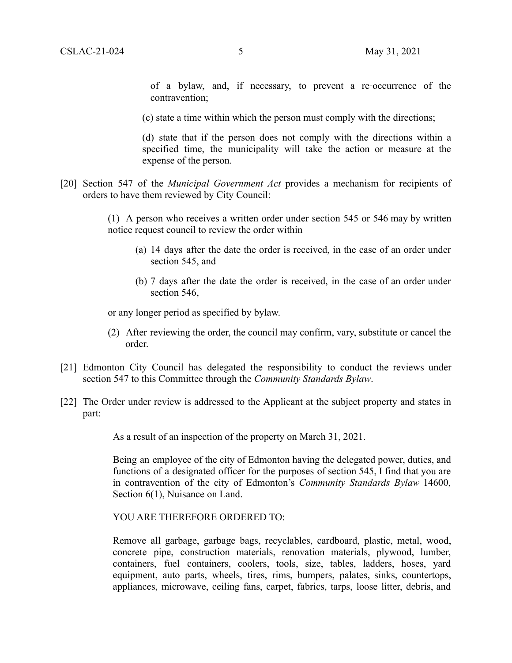of a bylaw, and, if necessary, to prevent a re‑occurrence of the contravention;

(c) state a time within which the person must comply with the directions;

(d) state that if the person does not comply with the directions within a specified time, the municipality will take the action or measure at the expense of the person.

[20] Section 547 of the *Municipal Government Act* provides a mechanism for recipients of orders to have them reviewed by City Council:

> (1) A person who receives a written order under section 545 or 546 may by written notice request council to review the order within

- (a) 14 days after the date the order is received, in the case of an order under section 545, and
- (b) 7 days after the date the order is received, in the case of an order under section 546,

or any longer period as specified by bylaw.

- (2) After reviewing the order, the council may confirm, vary, substitute or cancel the order.
- [21] Edmonton City Council has delegated the responsibility to conduct the reviews under section 547 to this Committee through the *Community Standards Bylaw*.
- [22] The Order under review is addressed to the Applicant at the subject property and states in part:

As a result of an inspection of the property on March 31, 2021.

Being an employee of the city of Edmonton having the delegated power, duties, and functions of a designated officer for the purposes of section 545, I find that you are in contravention of the city of Edmonton's *Community Standards Bylaw* 14600, Section  $6(1)$ , Nuisance on Land.

YOU ARE THEREFORE ORDERED TO

Remove all garbage, garbage bags, recyclables, cardboard, plastic, metal, wood, concrete pipe, construction materials, renovation materials, plywood, lumber, containers, fuel containers, coolers, tools, size, tables, ladders, hoses, yard equipment, auto parts, wheels, tires, rims, bumpers, palates, sinks, countertops, appliances, microwave, ceiling fans, carpet, fabrics, tarps, loose litter, debris, and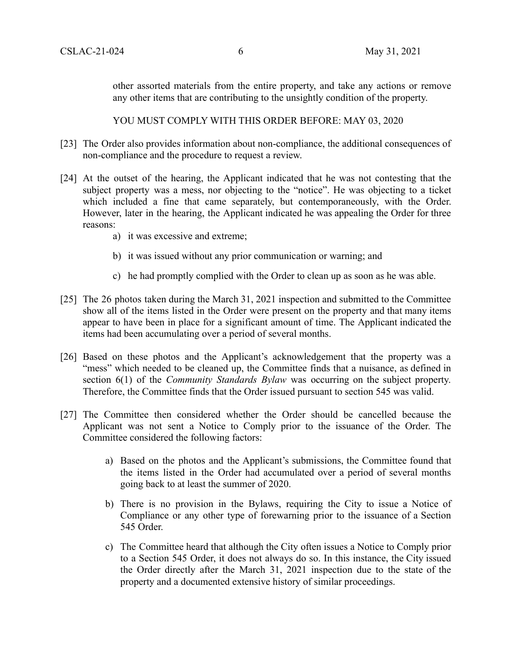other assorted materials from the entire property, and take any actions or remove any other items that are contributing to the unsightly condition of the property.

YOU MUST COMPLY WITH THIS ORDER BEFORE: MAY 03, 2020

- [23] The Order also provides information about non-compliance, the additional consequences of non-compliance and the procedure to request a review.
- [24] At the outset of the hearing, the Applicant indicated that he was not contesting that the subject property was a mess, nor objecting to the "notice". He was objecting to a ticket which included a fine that came separately, but contemporaneously, with the Order. However, later in the hearing, the Applicant indicated he was appealing the Order for three reasons:
	- a) it was excessive and extreme;
	- b) it was issued without any prior communication or warning; and
	- c) he had promptly complied with the Order to clean up as soon as he was able.
- [25] The 26 photos taken during the March 31, 2021 inspection and submitted to the Committee show all of the items listed in the Order were present on the property and that many items appear to have been in place for a significant amount of time. The Applicant indicated the items had been accumulating over a period of several months.
- [26] Based on these photos and the Applicant's acknowledgement that the property was a "mess" which needed to be cleaned up, the Committee finds that a nuisance, as defined in section 6(1) of the *Community Standards Bylaw* was occurring on the subject property. Therefore, the Committee finds that the Order issued pursuant to section 545 was valid.
- [27] The Committee then considered whether the Order should be cancelled because the Applicant was not sent a Notice to Comply prior to the issuance of the Order. The Committee considered the following factors:
	- a) Based on the photos and the Applicant's submissions, the Committee found that the items listed in the Order had accumulated over a period of several months going back to at least the summer of 2020.
	- b) There is no provision in the Bylaws, requiring the City to issue a Notice of Compliance or any other type of forewarning prior to the issuance of a Section 545 Order.
	- c) The Committee heard that although the City often issues a Notice to Comply prior to a Section 545 Order, it does not always do so. In this instance, the City issued the Order directly after the March 31, 2021 inspection due to the state of the property and a documented extensive history of similar proceedings.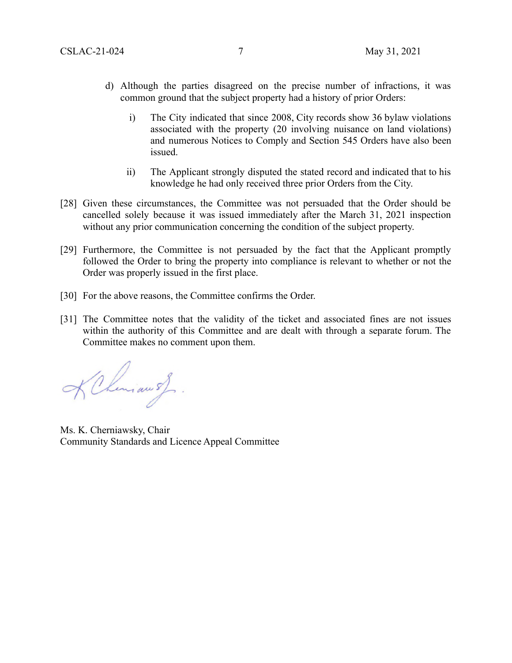- d) Although the parties disagreed on the precise number of infractions, it was common ground that the subject property had a history of prior Orders:
	- i) The City indicated that since 2008, City records show 36 bylaw violations associated with the property (20 involving nuisance on land violations) and numerous Notices to Comply and Section 545 Orders have also been issued.
	- ii) The Applicant strongly disputed the stated record and indicated that to his knowledge he had only received three prior Orders from the City.
- [28] Given these circumstances, the Committee was not persuaded that the Order should be cancelled solely because it was issued immediately after the March 31, 2021 inspection without any prior communication concerning the condition of the subject property.
- [29] Furthermore, the Committee is not persuaded by the fact that the Applicant promptly followed the Order to bring the property into compliance is relevant to whether or not the Order was properly issued in the first place.
- [30] For the above reasons, the Committee confirms the Order.
- [31] The Committee notes that the validity of the ticket and associated fines are not issues within the authority of this Committee and are dealt with through a separate forum. The Committee makes no comment upon them.

KChemian of

Ms. K. Cherniawsky, Chair Community Standards and Licence Appeal Committee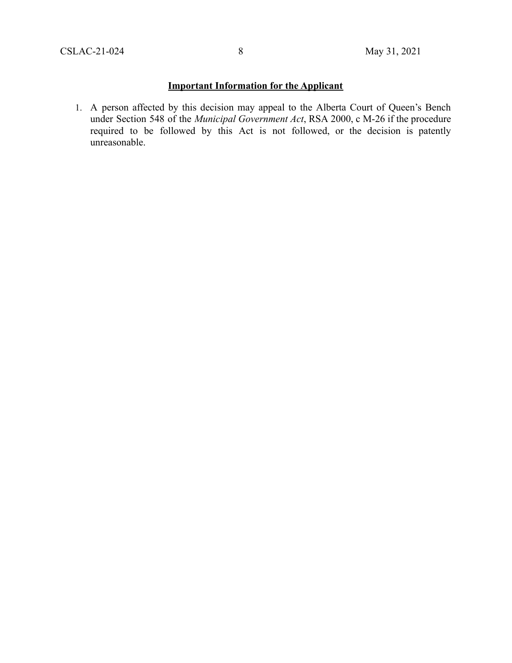# **Important Information for the Applicant**

1. A person affected by this decision may appeal to the Alberta Court of Queen's Bench under Section 548 of the *Municipal Government Act*, RSA 2000, c M-26 if the procedure required to be followed by this Act is not followed, or the decision is patently unreasonable.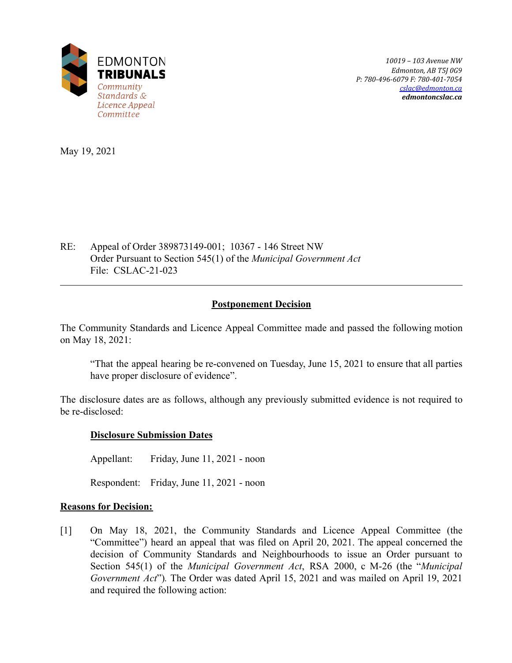

*10019 – 103 Avenue NW Edmonton, AB T5J 0G9 P: 780-496-6079 F: 780-401-7054 cslac[@edmonton.ca](mailto:sdab@edmonton.ca) edmontoncslac.ca*

May 19, 2021

RE: Appeal of Order 389873149-001; 10367 - 146 Street NW Order Pursuant to Section 545(1) of the *Municipal Government Act* File: CSLAC-21-023

## **Postponement Decision**

The Community Standards and Licence Appeal Committee made and passed the following motion on May 18, 2021:

"That the appeal hearing be re-convened on Tuesday, June 15, 2021 to ensure that all parties have proper disclosure of evidence".

The disclosure dates are as follows, although any previously submitted evidence is not required to be re-disclosed:

### **Disclosure Submission Dates**

Appellant: Friday, June 11, 2021 - noon

Respondent: Friday, June 11, 2021 - noon

### **Reasons for Decision:**

[1] On May 18, 2021, the Community Standards and Licence Appeal Committee (the "Committee") heard an appeal that was filed on April 20, 2021. The appeal concerned the decision of Community Standards and Neighbourhoods to issue an Order pursuant to Section 545(1) of the *Municipal Government Act*, RSA 2000, c M-26 (the "*Municipal Government Act*")*.* The Order was dated April 15, 2021 and was mailed on April 19, 2021 and required the following action: